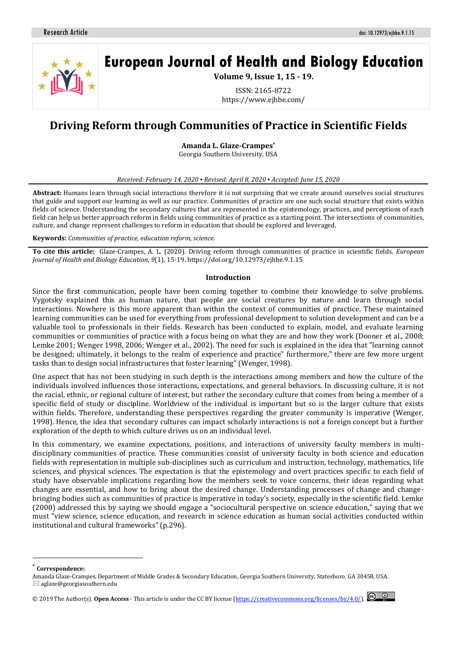

# **European Journal of Health and Biology Education**

**Volume 9, Issue 1, 15 - 19.**

ISSN: 2165-8722 https://www.ejhbe.com/

# **Driving Reform through Communities of Practice in Scientific Fields**

**Amanda L. Glaze-Crampes\***

Georgia Southern University, USA

#### *Received: February 14, 2020 ▪ Revised: April 8, 2020 ▪ Accepted: June 15, 2020*

**Abstract:** Humans learn through social interactions therefore it is not surprising that we create around ourselves social structures that guide and support our learning as well as our practice. Communities of practice are one such social structure that exists within fields of science. Understanding the secondary cultures that are represented in the epistemology, practices, and perceptions of each field can help us better approach reform in fields using communities of practice as a starting point. The intersections of communities, culture, and change represent challenges to reform in education that should be explored and leveraged.

**Keywords:** *Communities of practice, education reform, science.*

**To cite this article:** Glaze-Crampes, A. L. (2020). Driving reform through communities of practice in scientific fields. *European Journal of Health and Biology Education*, *9*(1), 15-19. https://doi.org/10.12973/ejhbe.9.1.15

#### **Introduction**

Since the first communication, people have been coming together to combine their knowledge to solve problems. Vygotsky explained this as human nature, that people are social creatures by nature and learn through social interactions. Nowhere is this more apparent than within the context of communities of practice. These maintained learning communities can be used for everything from professional development to solution development and can be a valuable tool to professionals in their fields. Research has been conducted to explain, model, and evaluate learning communities or communities of practice with a focus being on what they are and how they work (Dooner et al., 2008; Lemke 2001; Wenger 1998, 2006; Wenger et al., 2002). The need for such is explained in the idea that "learning cannot be designed; ultimately, it belongs to the realm of experience and practice" furthermore," there are few more urgent tasks than to design social infrastructures that foster learning" (Wenger, 1998).

One aspect that has not been studying in such depth is the interactions among members and how the culture of the individuals involved influences those interactions, expectations, and general behaviors. In discussing culture, it is not the racial, ethnic, or regional culture of interest, but rather the secondary culture that comes from being a member of a specific field of study or discipline. Worldview of the individual is important but so is the larger culture that exists within fields. Therefore, understanding these perspectives regarding the greater community is imperative (Wenger, 1998). Hence, the idea that secondary cultures can impact scholarly interactions is not a foreign concept but a further exploration of the depth to which culture drives us on an individual level.

In this commentary, we examine expectations, positions, and interactions of university faculty members in multidisciplinary communities of practice. These communities consist of university faculty in both science and education fields with representation in multiple sub-disciplines such as curriculum and instruction, technology, mathematics, life sciences, and physical sciences. The expectation is that the epistemology and overt practices specific to each field of study have observable implications regarding how the members seek to voice concerns, their ideas regarding what changes are essential, and how to bring about the desired change. Understanding processes of change and changebringing bodies such as communities of practice is imperative in today's society, especially in the scientific field. Lemke (2000) addressed this by saying we should engage a "sociocultural perspective on science education," saying that we must "view science, science education, and research in science education as human social activities conducted within institutional and cultural frameworks" (p.296).

 $\overline{a}$ 



<sup>\*</sup> **Correspondence:**

Amanda Glaze-Crampes, Department of Middle Grades & Secondary Education, Georgia Southern University, Statesboro, GA 30458, USA.  $\boxtimes$  aglaze@georgiasouthern.edu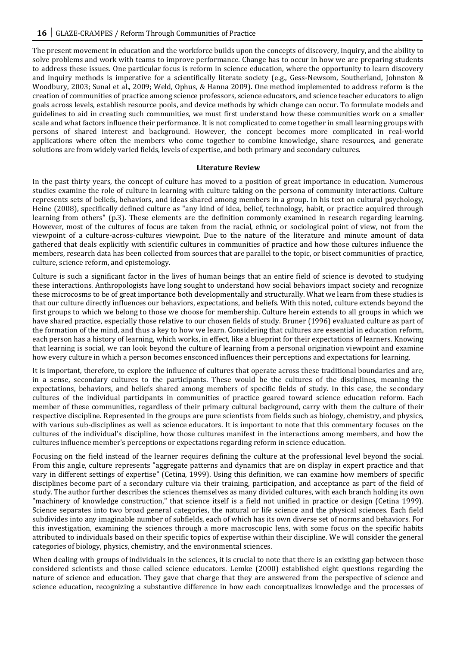The present movement in education and the workforce builds upon the concepts of discovery, inquiry, and the ability to solve problems and work with teams to improve performance. Change has to occur in how we are preparing students to address these issues. One particular focus is reform in science education, where the opportunity to learn discovery and inquiry methods is imperative for a scientifically literate society (e.g., Gess-Newsom, Southerland, Johnston & Woodbury, 2003; Sunal et al., 2009; Weld, Ophus, & Hanna 2009). One method implemented to address reform is the creation of communities of practice among science professors, science educators, and science teacher educators to align goals across levels, establish resource pools, and device methods by which change can occur. To formulate models and guidelines to aid in creating such communities, we must first understand how these communities work on a smaller scale and what factors influence their performance. It is not complicated to come together in small learning groups with persons of shared interest and background. However, the concept becomes more complicated in real-world applications where often the members who come together to combine knowledge, share resources, and generate solutions are from widely varied fields, levels of expertise, and both primary and secondary cultures.

### **Literature Review**

In the past thirty years, the concept of culture has moved to a position of great importance in education. Numerous studies examine the role of culture in learning with culture taking on the persona of community interactions. Culture represents sets of beliefs, behaviors, and ideas shared among members in a group. In his text on cultural psychology, Heine (2008), specifically defined culture as "any kind of idea, belief, technology, habit, or practice acquired through learning from others" (p.3). These elements are the definition commonly examined in research regarding learning. However, most of the cultures of focus are taken from the racial, ethnic, or sociological point of view, not from the viewpoint of a culture-across-cultures viewpoint. Due to the nature of the literature and minute amount of data gathered that deals explicitly with scientific cultures in communities of practice and how those cultures influence the members, research data has been collected from sources that are parallel to the topic, or bisect communities of practice, culture, science reform, and epistemology.

Culture is such a significant factor in the lives of human beings that an entire field of science is devoted to studying these interactions. Anthropologists have long sought to understand how social behaviors impact society and recognize these microcosms to be of great importance both developmentally and structurally. What we learn from these studies is that our culture directly influences our behaviors, expectations, and beliefs. With this noted, culture extends beyond the first groups to which we belong to those we choose for membership. Culture herein extends to all groups in which we have shared practice, especially those relative to our chosen fields of study. Bruner (1996) evaluated culture as part of the formation of the mind, and thus a key to how we learn. Considering that cultures are essential in education reform, each person has a history of learning, which works, in effect, like a blueprint for their expectations of learners. Knowing that learning is social, we can look beyond the culture of learning from a personal origination viewpoint and examine how every culture in which a person becomes ensconced influences their perceptions and expectations for learning.

It is important, therefore, to explore the influence of cultures that operate across these traditional boundaries and are, in a sense, secondary cultures to the participants. These would be the cultures of the disciplines, meaning the expectations, behaviors, and beliefs shared among members of specific fields of study. In this case, the secondary cultures of the individual participants in communities of practice geared toward science education reform. Each member of these communities, regardless of their primary cultural background, carry with them the culture of their respective discipline. Represented in the groups are pure scientists from fields such as biology, chemistry, and physics, with various sub-disciplines as well as science educators. It is important to note that this commentary focuses on the cultures of the individual's discipline, how those cultures manifest in the interactions among members, and how the cultures influence member's perceptions or expectations regarding reform in science education.

Focusing on the field instead of the learner requires defining the culture at the professional level beyond the social. From this angle, culture represents "aggregate patterns and dynamics that are on display in expert practice and that vary in different settings of expertise" (Cetina, 1999). Using this definition, we can examine how members of specific disciplines become part of a secondary culture via their training, participation, and acceptance as part of the field of study. The author further describes the sciences themselves as many divided cultures, with each branch holding its own "machinery of knowledge construction," that science itself is a field not unified in practice or design (Cetina 1999). Science separates into two broad general categories, the natural or life science and the physical sciences. Each field subdivides into any imaginable number of subfields, each of which has its own diverse set of norms and behaviors. For this investigation, examining the sciences through a more macroscopic lens, with some focus on the specific habits attributed to individuals based on their specific topics of expertise within their discipline. We will consider the general categories of biology, physics, chemistry, and the environmental sciences.

When dealing with groups of individuals in the sciences, it is crucial to note that there is an existing gap between those considered scientists and those called science educators. Lemke (2000) established eight questions regarding the nature of science and education. They gave that charge that they are answered from the perspective of science and science education, recognizing a substantive difference in how each conceptualizes knowledge and the processes of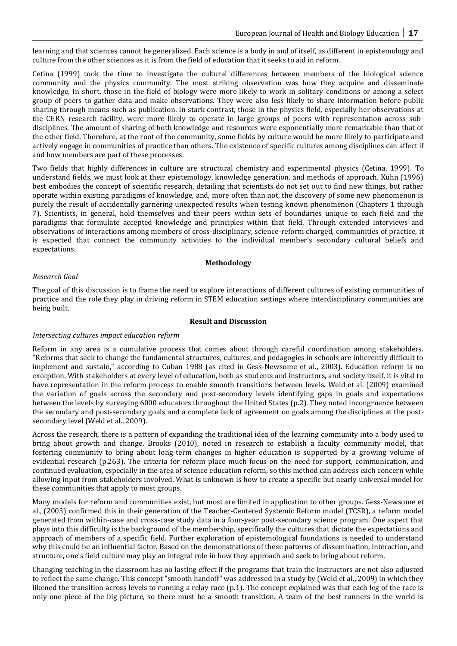learning and that sciences cannot be generalized. Each science is a body in and of itself, as different in epistemology and culture from the other sciences as it is from the field of education that it seeks to aid in reform.

Cetina (1999) took the time to investigate the cultural differences between members of the biological science community and the physics community. The most striking observation was how they acquire and disseminate knowledge. In short, those in the field of biology were more likely to work in solitary conditions or among a select group of peers to gather data and make observations. They were also less likely to share information before public sharing through means such as publication. In stark contrast, those in the physics field, especially her observations at the CERN research facility, were more likely to operate in large groups of peers with representation across subdisciplines. The amount of sharing of both knowledge and resources were exponentially more remarkable than that of the other field. Therefore, at the root of the community, some fields by culture would be more likely to participate and actively engage in communities of practice than others. The existence of specific cultures among disciplines can affect if and how members are part of these processes.

Two fields that highly differences in culture are structural chemistry and experimental physics (Cetina, 1999). To understand fields, we must look at their epistemology, knowledge generation, and methods of approach. Kuhn (1996) best embodies the concept of scientific research, detailing that scientists do not set out to find new things, but rather operate within existing paradigms of knowledge, and, more often than not, the discovery of some new phenomenon is purely the result of accidentally garnering unexpected results when testing known phenomenon (Chapters 1 through 7). Scientists, in general, hold themselves and their peers within sets of boundaries unique to each field and the paradigms that formulate accepted knowledge and principles within that field. Through extended interviews and observations of interactions among members of cross-disciplinary, science-reform charged, communities of practice, it is expected that connect the community activities to the individual member's secondary cultural beliefs and expectations.

### **Methodology**

# *Research Goal*

The goal of this discussion is to frame the need to explore interactions of different cultures of existing communities of practice and the role they play in driving reform in STEM education settings where interdisciplinary communities are being built.

#### **Result and Discussion**

### *Intersecting cultures impact education reform*

Reform in any area is a cumulative process that comes about through careful coordination among stakeholders. "Reforms that seek to change the fundamental structures, cultures, and pedagogies in schools are inherently difficult to implement and sustain," according to Cuban 1988 (as cited in Gess-Newsome et al., 2003). Education reform is no exception. With stakeholders at every level of education, both as students and instructors, and society itself, it is vital to have representation in the reform process to enable smooth transitions between levels. Weld et al. (2009) examined the variation of goals across the secondary and post-secondary levels identifying gaps in goals and expectations between the levels by surveying 6000 educators throughout the United States (p.2). They noted incongruence between the secondary and post-secondary goals and a complete lack of agreement on goals among the disciplines at the postsecondary level (Weld et al., 2009).

Across the research, there is a pattern of expanding the traditional idea of the learning community into a body used to bring about growth and change. Brooks (2010), noted in research to establish a faculty community model, that fostering community to bring about long-term changes in higher education is supported by a growing volume of evidential research (p.263). The criteria for reform place much focus on the need for support, communication, and continued evaluation, especially in the area of science education reform, so this method can address each concern while allowing input from stakeholders involved. What is unknown is how to create a specific but nearly universal model for these communities that apply to most groups.

Many models for reform and communities exist, but most are limited in application to other groups. Gess-Newsome et al., (2003) confirmed this in their generation of the Teacher-Centered Systemic Reform model (TCSR), a reform model generated from within-case and cross-case study data in a four-year post-secondary science program. One aspect that plays into this difficulty is the background of the membership, specifically the cultures that dictate the expectations and approach of members of a specific field. Further exploration of epistemological foundations is needed to understand why this could be an influential factor. Based on the demonstrations of these patterns of dissemination, interaction, and structure, one's field culture may play an integral role in how they approach and seek to bring about reform.

Changing teaching in the classroom has no lasting effect if the programs that train the instructors are not also adjusted to reflect the same change. This concept "smooth handoff" was addressed in a study by (Weld et al., 2009) in which they likened the transition across levels to running a relay race (p.1). The concept explained was that each leg of the race is only one piece of the big picture, so there must be a smooth transition. A team of the best runners in the world is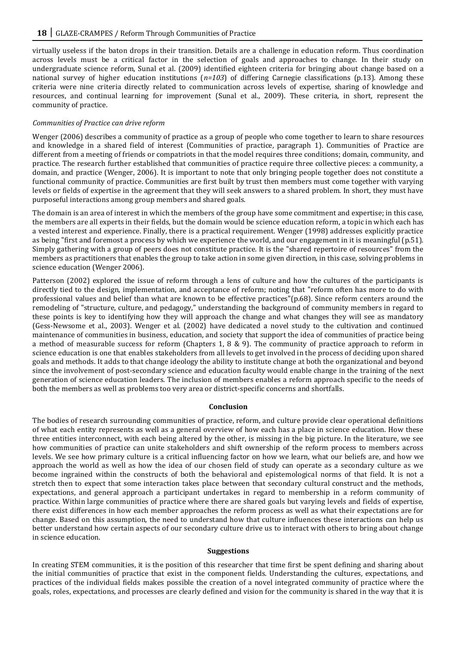virtually useless if the baton drops in their transition. Details are a challenge in education reform. Thus coordination across levels must be a critical factor in the selection of goals and approaches to change. In their study on undergraduate science reform, Sunal et al. (2009) identified eighteen criteria for bringing about change based on a national survey of higher education institutions (*n=103*) of differing Carnegie classifications (p.13). Among these criteria were nine criteria directly related to communication across levels of expertise, sharing of knowledge and resources, and continual learning for improvement (Sunal et al., 2009). These criteria, in short, represent the community of practice.

## *Communities of Practice can drive reform*

Wenger (2006) describes a community of practice as a group of people who come together to learn to share resources and knowledge in a shared field of interest (Communities of practice*,* paragraph 1). Communities of Practice are different from a meeting of friends or compatriots in that the model requires three conditions; domain, community, and practice. The research further established that communities of practice require three collective pieces: a community, a domain, and practice (Wenger, 2006). It is important to note that only bringing people together does not constitute a functional community of practice. Communities are first built by trust then members must come together with varying levels or fields of expertise in the agreement that they will seek answers to a shared problem. In short, they must have purposeful interactions among group members and shared goals.

The domain is an area of interest in which the members of the group have some commitment and expertise; in this case, the members are all experts in their fields, but the domain would be science education reform, a topic in which each has a vested interest and experience. Finally, there is a practical requirement. Wenger (1998) addresses explicitly practice as being "first and foremost a process by which we experience the world, and our engagement in it is meaningful (p.51). Simply gathering with a group of peers does not constitute practice. It is the "shared repertoire of resources" from the members as practitioners that enables the group to take action in some given direction, in this case, solving problems in science education (Wenger 2006).

Patterson (2002) explored the issue of reform through a lens of culture and how the cultures of the participants is directly tied to the design, implementation, and acceptance of reform; noting that "reform often has more to do with professional values and belief than what are known to be effective practices"(p.68). Since reform centers around the remodeling of "structure, culture, and pedagogy," understanding the background of community members in regard to these points is key to identifying how they will approach the change and what changes they will see as mandatory (Gess-Newsome et al., 2003). Wenger et al. (2002) have dedicated a novel study to the cultivation and continued maintenance of communities in business, education, and society that support the idea of communities of practice being a method of measurable success for reform (Chapters 1, 8 & 9). The community of practice approach to reform in science education is one that enables stakeholders from all levels to get involved in the process of deciding upon shared goals and methods. It adds to that change ideology the ability to institute change at both the organizational and beyond since the involvement of post-secondary science and education faculty would enable change in the training of the next generation of science education leaders. The inclusion of members enables a reform approach specific to the needs of both the members as well as problems too very area or district-specific concerns and shortfalls.

### **Conclusion**

The bodies of research surrounding communities of practice, reform, and culture provide clear operational definitions of what each entity represents as well as a general overview of how each has a place in science education. How these three entities interconnect, with each being altered by the other, is missing in the big picture. In the literature, we see how communities of practice can unite stakeholders and shift ownership of the reform process to members across levels. We see how primary culture is a critical influencing factor on how we learn, what our beliefs are, and how we approach the world as well as how the idea of our chosen field of study can operate as a secondary culture as we become ingrained within the constructs of both the behavioral and epistemological norms of that field. It is not a stretch then to expect that some interaction takes place between that secondary cultural construct and the methods, expectations, and general approach a participant undertakes in regard to membership in a reform community of practice. Within large communities of practice where there are shared goals but varying levels and fields of expertise, there exist differences in how each member approaches the reform process as well as what their expectations are for change. Based on this assumption, the need to understand how that culture influences these interactions can help us better understand how certain aspects of our secondary culture drive us to interact with others to bring about change in science education.

### **Suggestions**

In creating STEM communities, it is the position of this researcher that time first be spent defining and sharing about the initial communities of practice that exist in the component fields. Understanding the cultures, expectations, and practices of the individual fields makes possible the creation of a novel integrated community of practice where the goals, roles, expectations, and processes are clearly defined and vision for the community is shared in the way that it is